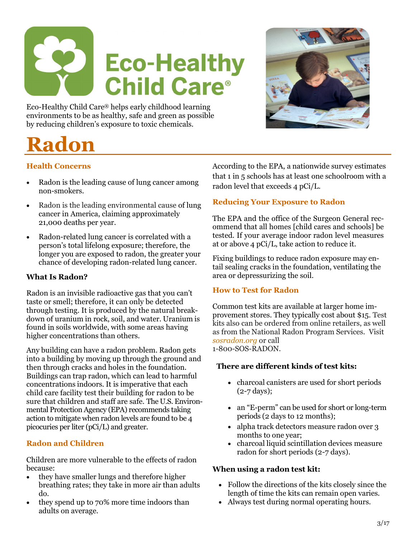

Eco-Healthy Child Care® helps early childhood learning environments to be as healthy, safe and green as possible by reducing children's exposure to toxic chemicals.

# **Radon**

# **Health Concerns**

- Radon is the leading cause of lung cancer among non-smokers.
- Radon is the leading environmental cause of lung cancer in America, claiming approximately 21,000 deaths per year.
- Radon-related lung cancer is correlated with a person's total lifelong exposure; therefore, the longer you are exposed to radon, the greater your chance of developing radon-related lung cancer.

### **What Is Radon?**

Radon is an invisible radioactive gas that you can't taste or smell; therefore, it can only be detected through testing. It is produced by the natural breakdown of uranium in rock, soil, and water. Uranium is found in soils worldwide, with some areas having higher concentrations than others.

Any building can have a radon problem. Radon gets into a building by moving up through the ground and then through cracks and holes in the foundation. Buildings can trap radon, which can lead to harmful concentrations indoors. It is imperative that each child care facility test their building for radon to be sure that children and staff are safe. The U.S. Environmental Protection Agency (EPA) recommends taking action to mitigate when radon levels are found to be 4 picocuries per liter (pCi/L) and greater.

# **Radon and Children**

Children are more vulnerable to the effects of radon because:

- they have smaller lungs and therefore higher breathing rates; they take in more air than adults do.
- they spend up to 70% more time indoors than adults on average.

According to the EPA, a nationwide survey estimates that 1 in 5 schools has at least one schoolroom with a radon level that exceeds 4 pCi/L.

### **Reducing Your Exposure to Radon**

The EPA and the office of the Surgeon General recommend that all homes [child cares and schools] be tested. If your average indoor radon level measures at or above 4 pCi/L, take action to reduce it.

Fixing buildings to reduce radon exposure may entail sealing cracks in the foundation, ventilating the area or depressurizing the soil.

### **How to Test for Radon**

Common test kits are available at larger home improvement stores. They typically cost about \$15. Test kits also can be ordered from online retailers, as well as from the National Radon Program Services. Visit *sosradon.org* or call 1-800-SOS-RADON.

### **There are different kinds of test kits:**

- charcoal canisters are used for short periods  $(2-7 \text{ days})$ ;
- an "E-perm" can be used for short or long-term periods (2 days to 12 months);
- alpha track detectors measure radon over 3 months to one year;
- charcoal liquid scintillation devices measure radon for short periods (2-7 days).

### **When using a radon test kit:**

- Follow the directions of the kits closely since the length of time the kits can remain open varies.
- Always test during normal operating hours.